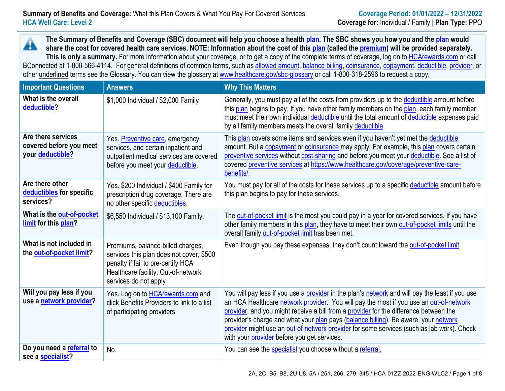**The Summary of Benefits and Coverage (SBC) document will help you choose a health [plan.](https://www.healthcare.gov/sbc-glossary/#plan) The SBC shows you how you and th[e plan](https://www.healthcare.gov/sbc-glossary/#plan) would** A **share the cost for covered health care services. NOTE: Information about the cost of this [plan](https://www.healthcare.gov/sbc-glossary/#plan) (called the [premium\)](https://www.healthcare.gov/sbc-glossary/#premium) will be provided separately. This is only a summary.** For more information about your coverage, or to get a copy of the complete terms of coverage, log on to [HCArewards.com](http://www.hcarewards.com/) or call BConnected at 1-800-566-4114. For general definitions of common terms, such as [allowed amount,](https://www.healthcare.gov/sbc-glossary/#allowed-amount) [balance billing,](https://www.healthcare.gov/sbc-glossary/#balance-billing) [coinsurance,](https://www.healthcare.gov/sbc-glossary/#coinsurance) [copayment,](https://www.healthcare.gov/sbc-glossary/#copayment) [deductible,](https://www.healthcare.gov/sbc-glossary/#deductible) [provider,](https://www.healthcare.gov/sbc-glossary/#provider) or other underlined terms see the Glossary. You can view the glossary at [www.healthcare.gov/sbc-glossary](http://www.healthcare.gov/sbc-glossary) or call 1-800-318-2596 to request a copy.

| <b>Important Questions</b>                                        | <b>Answers</b>                                                                                                                                                                      | <b>Why This Matters</b>                                                                                                                                                                                                                                                                                                                                                                                                                                                                                                      |
|-------------------------------------------------------------------|-------------------------------------------------------------------------------------------------------------------------------------------------------------------------------------|------------------------------------------------------------------------------------------------------------------------------------------------------------------------------------------------------------------------------------------------------------------------------------------------------------------------------------------------------------------------------------------------------------------------------------------------------------------------------------------------------------------------------|
| What is the overall<br>deductible?                                | \$1,000 Individual / \$2,000 Family                                                                                                                                                 | Generally, you must pay all of the costs from providers up to the deductible amount before<br>this plan begins to pay. If you have other family members on the plan, each family member<br>must meet their own individual deductible until the total amount of deductible expenses paid<br>by all family members meets the overall family deductible.                                                                                                                                                                        |
| Are there services<br>covered before you meet<br>your deductible? | Yes. Preventive care, emergency<br>services, and certain inpatient and<br>outpatient medical services are covered<br>before you meet your deductible.                               | This plan covers some items and services even if you haven't yet met the deductible<br>amount. But a copayment or coinsurance may apply. For example, this plan covers certain<br>preventive services without cost-sharing and before you meet your deductible. See a list of<br>covered preventive services at https://www.healthcare.gov/coverage/preventive-care-<br>benefits/                                                                                                                                            |
| Are there other<br>deductibles for specific<br>services?          | Yes. \$200 Individual / \$400 Family for<br>prescription drug coverage. There are<br>no other specific deductibles.                                                                 | You must pay for all of the costs for these services up to a specific deductible amount before<br>this plan begins to pay for these services.                                                                                                                                                                                                                                                                                                                                                                                |
| What is the out-of-pocket<br>limit for this plan?                 | \$6,550 Individual / \$13,100 Family.                                                                                                                                               | The out-of-pocket limit is the most you could pay in a year for covered services. If you have<br>other family members in this plan, they have to meet their own out-of-pocket limits until the<br>overall family out-of-pocket limit has been met.                                                                                                                                                                                                                                                                           |
| What is not included in<br>the out-of-pocket limit?               | Premiums, balance-billed charges,<br>services this plan does not cover, \$500<br>penalty if fail to pre-certify HCA<br>Healthcare facility. Out-of-network<br>services do not apply | Even though you pay these expenses, they don't count toward the out-of-pocket limit.                                                                                                                                                                                                                                                                                                                                                                                                                                         |
| Will you pay less if you<br>use a network provider?               | Yes. Log on to HCArewards.com and<br>click Benefits Providers to link to a list<br>of participating providers                                                                       | You will pay less if you use a provider in the plan's network and will pay the least if you use<br>an HCA Healthcare network provider. You will pay the most if you use an out-of-network<br>provider, and you might receive a bill from a provider for the difference between the<br>provider's charge and what your plan pays (balance billing). Be aware, your network<br>provider might use an out-of-network provider for some services (such as lab work). Check<br>with your <i>provider</i> before you get services. |
| Do you need a referral to<br>see a specialist?                    | No.                                                                                                                                                                                 | You can see the specialist you choose without a referral.                                                                                                                                                                                                                                                                                                                                                                                                                                                                    |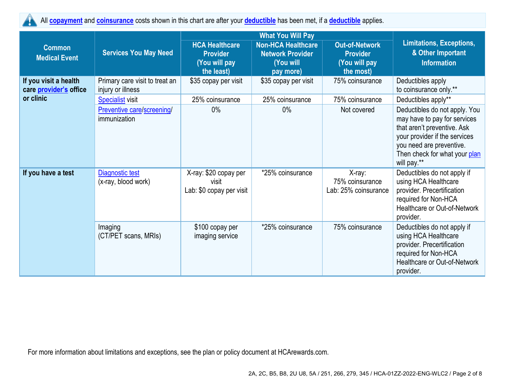All **[copayment](https://www.healthcare.gov/sbc-glossary/#copayment)** and **[coinsurance](https://www.healthcare.gov/sbc-glossary/#coinsurance)** costs shown in this chart are after your **[deductible](https://www.healthcare.gov/sbc-glossary/#deductible)** has been met, if a **[deductible](https://www.healthcare.gov/sbc-glossary/#deductible)** applies. Ţ

|                                                 |                                                     |                                                            | <b>What You Will Pay</b>                             |                                                   |                                                                                                                                                                                                           |  |
|-------------------------------------------------|-----------------------------------------------------|------------------------------------------------------------|------------------------------------------------------|---------------------------------------------------|-----------------------------------------------------------------------------------------------------------------------------------------------------------------------------------------------------------|--|
| <b>Common</b>                                   | <b>Services You May Need</b>                        | <b>HCA Healthcare</b><br><b>Provider</b>                   | <b>Non-HCA Healthcare</b><br><b>Network Provider</b> | <b>Out-of-Network</b><br><b>Provider</b>          | <b>Limitations, Exceptions,</b><br>& Other Important                                                                                                                                                      |  |
| <b>Medical Event</b>                            |                                                     | (You will pay                                              | (You will                                            | (You will pay                                     | <b>Information</b>                                                                                                                                                                                        |  |
|                                                 |                                                     | the least)                                                 | pay more)                                            | the most)                                         |                                                                                                                                                                                                           |  |
| If you visit a health<br>care provider's office | Primary care visit to treat an<br>injury or illness | \$35 copay per visit                                       | \$35 copay per visit                                 | 75% coinsurance                                   | Deductibles apply<br>to coinsurance only.**                                                                                                                                                               |  |
| or clinic                                       | <b>Specialist visit</b>                             | 25% coinsurance                                            | 25% coinsurance                                      | 75% coinsurance                                   | Deductibles apply**                                                                                                                                                                                       |  |
|                                                 | <b>Preventive care/screening/</b><br>immunization   | $0\%$                                                      | $0\%$                                                | Not covered                                       | Deductibles do not apply. You<br>may have to pay for services<br>that aren't preventive. Ask<br>your provider if the services<br>you need are preventive.<br>Then check for what your plan<br>will pay.** |  |
| If you have a test                              | Diagnostic test<br>(x-ray, blood work)              | X-ray: \$20 copay per<br>visit<br>Lab: \$0 copay per visit | *25% coinsurance                                     | X-ray:<br>75% coinsurance<br>Lab: 25% coinsurance | Deductibles do not apply if<br>using HCA Healthcare<br>provider. Precertification<br>required for Non-HCA<br>Healthcare or Out-of-Network<br>provider.                                                    |  |
|                                                 | Imaging<br>(CT/PET scans, MRIs)                     | \$100 copay per<br>imaging service                         | *25% coinsurance                                     | 75% coinsurance                                   | Deductibles do not apply if<br>using HCA Healthcare<br>provider. Precertification<br>required for Non-HCA<br>Healthcare or Out-of-Network<br>provider.                                                    |  |

For more information about limitations and exceptions, see the plan or policy document at HCArewards.com.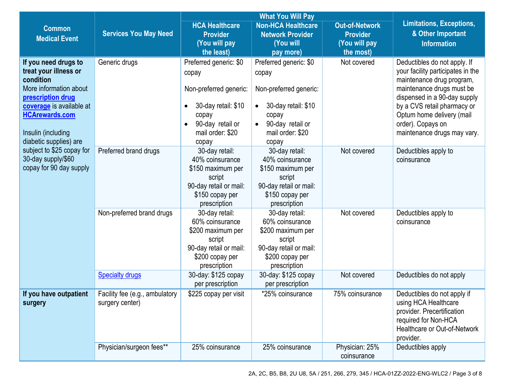|                                                                                                                                                                                                                |                                                   |                                                                                                                                                                      | <b>What You Will Pay</b>                                                                                                                                             |                                                                        |                                                                                                                                                                                                                                                                             |  |
|----------------------------------------------------------------------------------------------------------------------------------------------------------------------------------------------------------------|---------------------------------------------------|----------------------------------------------------------------------------------------------------------------------------------------------------------------------|----------------------------------------------------------------------------------------------------------------------------------------------------------------------|------------------------------------------------------------------------|-----------------------------------------------------------------------------------------------------------------------------------------------------------------------------------------------------------------------------------------------------------------------------|--|
| <b>Common</b><br><b>Medical Event</b>                                                                                                                                                                          | <b>Services You May Need</b>                      | <b>HCA Healthcare</b><br><b>Provider</b><br>(You will pay<br>the least)                                                                                              | <b>Non-HCA Healthcare</b><br><b>Network Provider</b><br>(You will<br>pay more)                                                                                       | <b>Out-of-Network</b><br><b>Provider</b><br>(You will pay<br>the most) | <b>Limitations, Exceptions,</b><br>& Other Important<br><b>Information</b>                                                                                                                                                                                                  |  |
| If you need drugs to<br>treat your illness or<br>condition<br>More information about<br>prescription drug<br>coverage is available at<br><b>HCArewards.com</b><br>Insulin (including<br>diabetic supplies) are | Generic drugs                                     | Preferred generic: \$0<br>copay<br>Non-preferred generic:<br>30-day retail: \$10<br>$\bullet$<br>copay<br>90-day retail or<br>$\bullet$<br>mail order: \$20<br>copay | Preferred generic: \$0<br>copay<br>Non-preferred generic:<br>30-day retail: \$10<br>$\bullet$<br>copay<br>90-day retail or<br>$\bullet$<br>mail order: \$20<br>copay | Not covered                                                            | Deductibles do not apply. If<br>your facility participates in the<br>maintenance drug program,<br>maintenance drugs must be<br>dispensed in a 90-day supply<br>by a CVS retail pharmacy or<br>Optum home delivery (mail<br>order). Copays on<br>maintenance drugs may vary. |  |
| subject to \$25 copay for<br>30-day supply/\$60<br>copay for 90 day supply                                                                                                                                     | Preferred brand drugs                             | 30-day retail:<br>40% coinsurance<br>\$150 maximum per<br>script<br>90-day retail or mail:<br>\$150 copay per<br>prescription                                        | 30-day retail:<br>40% coinsurance<br>\$150 maximum per<br>script<br>90-day retail or mail:<br>\$150 copay per<br>prescription                                        | Not covered                                                            | Deductibles apply to<br>coinsurance                                                                                                                                                                                                                                         |  |
|                                                                                                                                                                                                                | Non-preferred brand drugs                         | 30-day retail:<br>60% coinsurance<br>\$200 maximum per<br>script<br>90-day retail or mail:<br>\$200 copay per<br>prescription                                        | 30-day retail:<br>60% coinsurance<br>\$200 maximum per<br>script<br>90-day retail or mail:<br>\$200 copay per<br>prescription                                        | Not covered                                                            | Deductibles apply to<br>coinsurance                                                                                                                                                                                                                                         |  |
|                                                                                                                                                                                                                | <b>Specialty drugs</b>                            | 30-day: \$125 copay<br>per prescription                                                                                                                              | 30-day: \$125 copay<br>per prescription                                                                                                                              | Not covered                                                            | Deductibles do not apply                                                                                                                                                                                                                                                    |  |
| If you have outpatient<br>surgery                                                                                                                                                                              | Facility fee (e.g., ambulatory<br>surgery center) | \$225 copay per visit                                                                                                                                                | *25% coinsurance                                                                                                                                                     | 75% coinsurance                                                        | Deductibles do not apply if<br>using HCA Healthcare<br>provider. Precertification<br>required for Non-HCA<br>Healthcare or Out-of-Network<br>provider.                                                                                                                      |  |
|                                                                                                                                                                                                                | Physician/surgeon fees**                          | 25% coinsurance                                                                                                                                                      | 25% coinsurance                                                                                                                                                      | Physician: 25%<br>coinsurance                                          | Deductibles apply                                                                                                                                                                                                                                                           |  |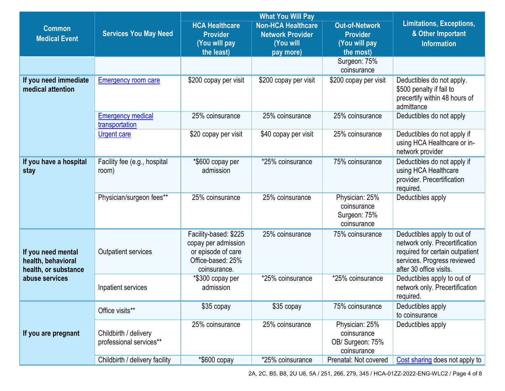|                                                                  |                                                  |                                                                                                         | <b>What You Will Pay</b>                                                       |                                                                        |                                                                                                                                                            |  |
|------------------------------------------------------------------|--------------------------------------------------|---------------------------------------------------------------------------------------------------------|--------------------------------------------------------------------------------|------------------------------------------------------------------------|------------------------------------------------------------------------------------------------------------------------------------------------------------|--|
| <b>Common</b><br><b>Medical Event</b>                            | <b>Services You May Need</b>                     | <b>HCA Healthcare</b><br><b>Provider</b><br>(You will pay<br>the least)                                 | <b>Non-HCA Healthcare</b><br><b>Network Provider</b><br>(You will<br>pay more) | <b>Out-of-Network</b><br><b>Provider</b><br>(You will pay<br>the most) | Limitations, Exceptions,<br>& Other Important<br><b>Information</b>                                                                                        |  |
|                                                                  |                                                  |                                                                                                         |                                                                                | Surgeon: 75%<br>coinsurance                                            |                                                                                                                                                            |  |
| If you need immediate<br>medical attention                       | <b>Emergency room care</b>                       | \$200 copay per visit                                                                                   | \$200 copay per visit                                                          | \$200 copay per visit                                                  | Deductibles do not apply.<br>\$500 penalty if fail to<br>precertify within 48 hours of<br>admittance                                                       |  |
|                                                                  | <b>Emergency medical</b><br>transportation       | 25% coinsurance                                                                                         | 25% coinsurance                                                                | 25% coinsurance                                                        | Deductibles do not apply                                                                                                                                   |  |
|                                                                  | <b>Urgent care</b>                               | \$20 copay per visit                                                                                    | \$40 copay per visit                                                           | 25% coinsurance                                                        | Deductibles do not apply if<br>using HCA Healthcare or in-<br>network provider                                                                             |  |
| If you have a hospital<br>stay                                   | Facility fee (e.g., hospital<br>room)            | *\$600 copay per<br>admission                                                                           | *25% coinsurance                                                               | 75% coinsurance                                                        | Deductibles do not apply if<br>using HCA Healthcare<br>provider. Precertification<br>required.                                                             |  |
|                                                                  | Physician/surgeon fees**                         | 25% coinsurance                                                                                         | 25% coinsurance                                                                | Physician: 25%<br>coinsurance<br>Surgeon: 75%<br>coinsurance           | Deductibles apply                                                                                                                                          |  |
| If you need mental<br>health, behavioral<br>health, or substance | <b>Outpatient services</b>                       | Facility-based: \$225<br>copay per admission<br>or episode of care<br>Office-based: 25%<br>coinsurance. | 25% coinsurance                                                                | 75% coinsurance                                                        | Deductibles apply to out of<br>network only. Precertification<br>required for certain outpatient<br>services. Progress reviewed<br>after 30 office visits. |  |
| abuse services                                                   | Inpatient services                               | *\$300 copay per<br>admission                                                                           | *25% coinsurance                                                               | *25% coinsurance                                                       | Deductibles apply to out of<br>network only. Precertification<br>required.                                                                                 |  |
|                                                                  | Office visits**                                  | \$35 copay                                                                                              | \$35 copay                                                                     | 75% coinsurance                                                        | Deductibles apply<br>to coinsurance                                                                                                                        |  |
| If you are pregnant                                              | Childbirth / delivery<br>professional services** | 25% coinsurance                                                                                         | 25% coinsurance                                                                | Physician: 25%<br>coinsurance<br>OB/ Surgeon: 75%<br>coinsurance       | Deductibles apply                                                                                                                                          |  |
|                                                                  | Childbirth / delivery facility                   | *\$600 copay                                                                                            | *25% coinsurance                                                               | Prenatal: Not covered                                                  | Cost sharing does not apply to                                                                                                                             |  |

2A, 2C, B5, B8, 2U U8, 5A / 251, 266, 279, 345 / HCA-01ZZ-2022-ENG-WLC2 / Page 4 of 8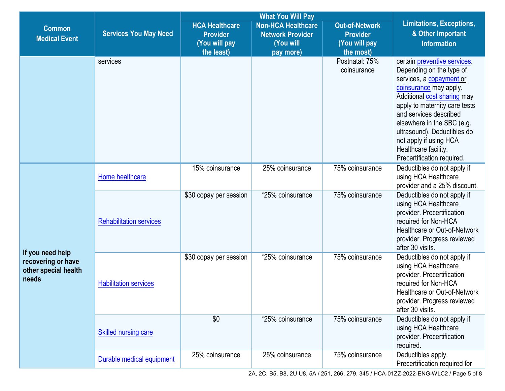|                                                                         |                                                             |                                                                         | <b>What You Will Pay</b>                                                       |                                                                        |                                                                                                                                                                                                                                                                                                                                                      |  |
|-------------------------------------------------------------------------|-------------------------------------------------------------|-------------------------------------------------------------------------|--------------------------------------------------------------------------------|------------------------------------------------------------------------|------------------------------------------------------------------------------------------------------------------------------------------------------------------------------------------------------------------------------------------------------------------------------------------------------------------------------------------------------|--|
| <b>Common</b><br><b>Medical Event</b>                                   | <b>Services You May Need</b>                                | <b>HCA Healthcare</b><br><b>Provider</b><br>(You will pay<br>the least) | <b>Non-HCA Healthcare</b><br><b>Network Provider</b><br>(You will<br>pay more) | <b>Out-of-Network</b><br><b>Provider</b><br>(You will pay<br>the most) | <b>Limitations, Exceptions,</b><br>& Other Important<br><b>Information</b>                                                                                                                                                                                                                                                                           |  |
|                                                                         | services                                                    |                                                                         |                                                                                | Postnatal: 75%<br>coinsurance                                          | certain preventive services<br>Depending on the type of<br>services, a copayment or<br>coinsurance may apply.<br>Additional cost sharing may<br>apply to maternity care tests<br>and services described<br>elsewhere in the SBC (e.g.<br>ultrasound). Deductibles do<br>not apply if using HCA<br>Healthcare facility.<br>Precertification required. |  |
|                                                                         | Home healthcare                                             | 15% coinsurance                                                         | 25% coinsurance                                                                | 75% coinsurance                                                        | Deductibles do not apply if<br>using HCA Healthcare<br>provider and a 25% discount.                                                                                                                                                                                                                                                                  |  |
|                                                                         | <b>Rehabilitation services</b>                              | \$30 copay per session                                                  | *25% coinsurance                                                               | 75% coinsurance                                                        | Deductibles do not apply if<br>using HCA Healthcare<br>provider. Precertification<br>required for Non-HCA<br>Healthcare or Out-of-Network<br>provider. Progress reviewed<br>after 30 visits.                                                                                                                                                         |  |
| If you need help<br>recovering or have<br>other special health<br>needs | <b>Habilitation services</b><br><b>Skilled nursing care</b> | \$30 copay per session                                                  | *25% coinsurance                                                               | 75% coinsurance                                                        | Deductibles do not apply if<br>using HCA Healthcare<br>provider. Precertification<br>required for Non-HCA<br>Healthcare or Out-of-Network<br>provider. Progress reviewed<br>after 30 visits.                                                                                                                                                         |  |
|                                                                         |                                                             | \$0                                                                     | *25% coinsurance                                                               | 75% coinsurance                                                        | Deductibles do not apply if<br>using HCA Healthcare<br>provider. Precertification<br>required.                                                                                                                                                                                                                                                       |  |
|                                                                         | Durable medical equipment                                   | 25% coinsurance                                                         | 25% coinsurance                                                                | 75% coinsurance                                                        | Deductibles apply.<br>Precertification required for                                                                                                                                                                                                                                                                                                  |  |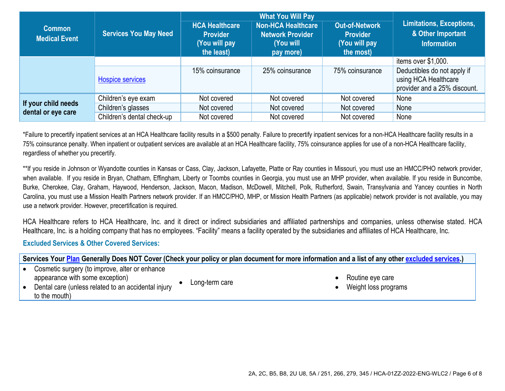|                                           | <b>Services You May Need</b> |                                                                         |                                                                                |                                                                        |                                                                                     |
|-------------------------------------------|------------------------------|-------------------------------------------------------------------------|--------------------------------------------------------------------------------|------------------------------------------------------------------------|-------------------------------------------------------------------------------------|
| <b>Common</b><br><b>Medical Event</b>     |                              | <b>HCA Healthcare</b><br><b>Provider</b><br>(You will pay<br>the least) | <b>Non-HCA Healthcare</b><br><b>Network Provider</b><br>(You will<br>pay more) | <b>Out-of-Network</b><br><b>Provider</b><br>(You will pay<br>the most) | <b>Limitations, Exceptions,</b><br>& Other Important<br><b>Information</b>          |
|                                           |                              |                                                                         |                                                                                |                                                                        | items over \$1,000.                                                                 |
|                                           | <b>Hospice services</b>      | 15% coinsurance                                                         | 25% coinsurance                                                                | 75% coinsurance                                                        | Deductibles do not apply if<br>using HCA Healthcare<br>provider and a 25% discount. |
|                                           | Children's eye exam          | Not covered                                                             | Not covered                                                                    | Not covered                                                            | None                                                                                |
| If your child needs<br>dental or eye care | Children's glasses           | Not covered                                                             | Not covered                                                                    | Not covered                                                            | None                                                                                |
|                                           | Children's dental check-up   | Not covered                                                             | Not covered                                                                    | Not covered                                                            | None                                                                                |

\*Failure to precertify inpatient services at an HCA Healthcare facility results in a \$500 penalty. Failure to precertify inpatient services for a non-HCA Healthcare facility results in a 75% coinsurance penalty. When inpatient or outpatient services are available at an HCA Healthcare facility, 75% coinsurance applies for use of a non-HCA Healthcare facility, regardless of whether you precertify.

\*\*If you reside in Johnson or Wyandotte counties in Kansas or Cass, Clay, Jackson, Lafayette, Platte or Ray counties in Missouri, you must use an HMCC/PHO network provider, when available. If you reside in Bryan, Chatham, Effingham, Liberty or Toombs counties in Georgia, you must use an MHP provider, when available. If you reside in Buncombe, Burke, Cherokee, Clay, Graham, Haywood, Henderson, Jackson, Macon, Madison, McDowell, Mitchell, Polk, Rutherford, Swain, Transylvania and Yancey counties in North Carolina, you must use a Mission Health Partners network provider. If an HMCC/PHO, MHP, or Mission Health Partners (as applicable) network provider is not available, you may use a network provider. However, precertification is required.

HCA Healthcare refers to HCA Healthcare, Inc. and it direct or indirect subsidiaries and affiliated partnerships and companies, unless otherwise stated. HCA Healthcare, Inc. is a holding company that has no employees. "Facility" means a facility operated by the subsidiaries and affiliates of HCA Healthcare, Inc.

## **Excluded Services & Other Covered Services:**

| Services Your Plan Generally Does NOT Cover (Check your policy or plan document for more information and a list of any other excluded services.) |                |                                          |  |  |  |
|--------------------------------------------------------------------------------------------------------------------------------------------------|----------------|------------------------------------------|--|--|--|
| Cosmetic surgery (to improve, alter or enhance                                                                                                   |                |                                          |  |  |  |
| appearance with some exception)<br>Dental care (unless related to an accidental injury<br>to the mouth)                                          | Long-term care | Routine eye care<br>Weight loss programs |  |  |  |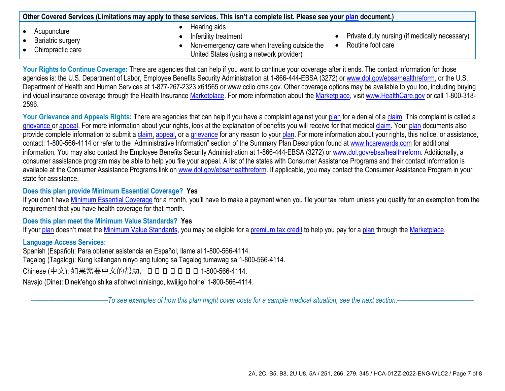| Other Covered Services (Limitations may apply to these services. This isn't a complete list. Please see your plan document.) |                                                                                                                                    |                                                                    |  |  |  |
|------------------------------------------------------------------------------------------------------------------------------|------------------------------------------------------------------------------------------------------------------------------------|--------------------------------------------------------------------|--|--|--|
| Acupuncture<br>Bariatric surgery<br>Chiropractic care                                                                        | Hearing aids<br>Infertility treatment<br>Non-emergency care when traveling outside the<br>United States (using a network provider) | Private duty nursing (if medically necessary)<br>Routine foot care |  |  |  |

Your Rights to Continue Coverage: There are agencies that can help if you want to continue your coverage after it ends. The contact information for those agencies is: the U.S. Department of Labor, Employee Benefits Security Administration at 1-866-444-EBSA (3272) or [www.dol.gov/ebsa/healthreform,](http://www.dol.gov/ebsa/healthreform) or the U.S. Department of Health and Human Services at 1-877-267-2323 x61565 or www.cciio.cms.gov. Other coverage options may be available to you too, including buying individual insurance coverage through the Health Insurance [Marketplace.](https://www.healthcare.gov/sbc-glossary/#marketplace) For more information about the [Marketplace,](https://www.healthcare.gov/sbc-glossary/#marketplace) visi[t www.HealthCare.gov](http://www.healthcare.gov/) or call 1-800-318-2596.

Your Grievance and Appeals Rights: There are agencies that can help if you have a complaint against you[r plan](https://www.healthcare.gov/sbc-glossary/#plan) for a denial of a [claim.](https://www.healthcare.gov/sbc-glossary/#claim) This complaint is called a [grievance](https://www.healthcare.gov/sbc-glossary/#grievance) or [appeal.](https://www.healthcare.gov/sbc-glossary/#appeal) For more information about your rights, look at the explanation of benefits you will receive for that medica[l claim.](https://www.healthcare.gov/sbc-glossary/#claim) Your [plan](https://www.healthcare.gov/sbc-glossary/#plan) documents also provide complete information to submit a [claim,](https://www.healthcare.gov/sbc-glossary/#claim) [appeal,](https://www.healthcare.gov/sbc-glossary/#appeal) or a [grievance](https://www.healthcare.gov/sbc-glossary/#grievance) for any reason to your [plan.](https://www.healthcare.gov/sbc-glossary/#plan) For more information about your rights, this notice, or assistance, contact: 1-800-566-4114 or refer to the "Administrative Information" section of the Summary Plan Description found at [www.hcarewards.com](http://www.hcarewards.com/) for additional information. You may also contact the Employee Benefits Security Administration at 1-866-444-EBSA (3272) or [www.dol.gov/ebsa/healthreform.](http://www.dol.gov/ebsa/healthreform) Additionally, a consumer assistance program may be able to help you file your appeal. A list of the states with Consumer Assistance Programs and their contact information is available at the Consumer Assistance Programs link on [www.dol.gov/ebsa/healthreform.](http://www.dol.gov/ebsa/healthreform) If applicable, you may contact the Consumer Assistance Program in your state for assistance.

## **Does this plan provide Minimum Essential Coverage? Yes**

If you don't have [Minimum Essential Coverage](https://www.healthcare.gov/sbc-glossary/#minimum-essential-coverage) for a month, you'll have to make a payment when you file your tax return unless you qualify for an exemption from the requirement that you have health coverage for that month.

## **Does this plan meet the Minimum Value Standards? Yes**

If your [plan](https://www.healthcare.gov/sbc-glossary/#plan) doesn't meet the [Minimum Value Standards,](https://www.healthcare.gov/sbc-glossary/#minimum-value-standard) you may be eligible for a [premium tax credit](https://www.healthcare.gov/sbc-glossary/#premium-tax-credits) to help you pay for a plan through the [Marketplace.](https://www.healthcare.gov/sbc-glossary/#marketplace)

## **Language Access Services:**

Spanish (Español): Para obtener asistencia en Español, llame al 1-800-566-4114. Tagalog (Tagalog): Kung kailangan ninyo ang tulong sa Tagalog tumawag sa 1-800-566-4114.

Chinese (中文): 如果需要中文的帮助, ロロロロロロロ1-800-566-4114.

Navajo (Dine): Dinek'ehgo shika at'ohwol ninisingo, kwiijigo holne' 1-800-566-4114.

––––––––––––––––––––––*To see examples of how this plan might cover costs for a sample medical situation, see the next section.–––––––––––*–––––––––––